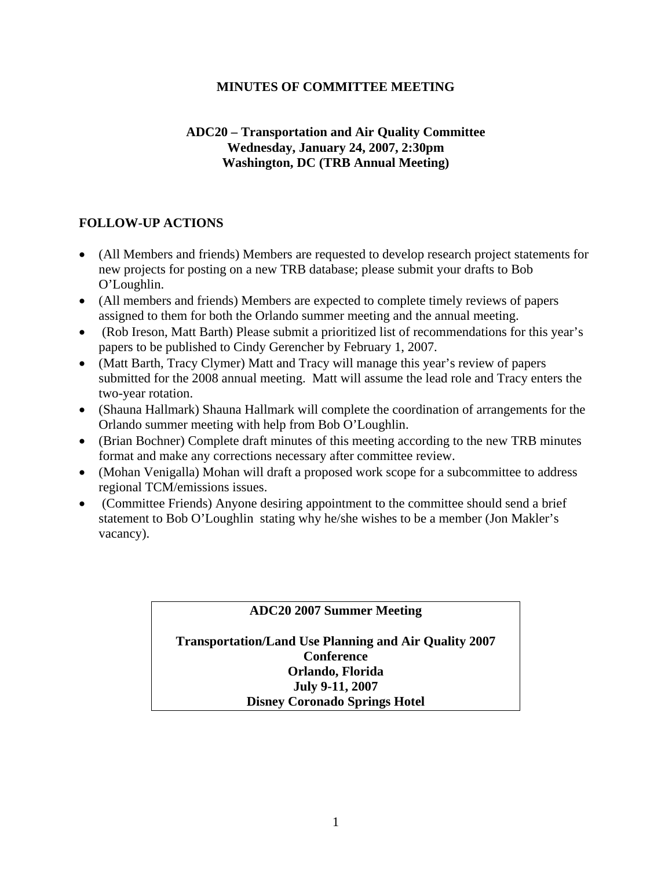### **MINUTES OF COMMITTEE MEETING**

# **ADC20 – Transportation and Air Quality Committee Wednesday, January 24, 2007, 2:30pm Washington, DC (TRB Annual Meeting)**

# **FOLLOW-UP ACTIONS**

- (All Members and friends) Members are requested to develop research project statements for new projects for posting on a new TRB database; please submit your drafts to Bob O'Loughlin.
- (All members and friends) Members are expected to complete timely reviews of papers assigned to them for both the Orlando summer meeting and the annual meeting.
- (Rob Ireson, Matt Barth) Please submit a prioritized list of recommendations for this year's papers to be published to Cindy Gerencher by February 1, 2007.
- (Matt Barth, Tracy Clymer) Matt and Tracy will manage this year's review of papers submitted for the 2008 annual meeting. Matt will assume the lead role and Tracy enters the two-year rotation.
- (Shauna Hallmark) Shauna Hallmark will complete the coordination of arrangements for the Orlando summer meeting with help from Bob O'Loughlin.
- (Brian Bochner) Complete draft minutes of this meeting according to the new TRB minutes format and make any corrections necessary after committee review.
- (Mohan Venigalla) Mohan will draft a proposed work scope for a subcommittee to address regional TCM/emissions issues.
- (Committee Friends) Anyone desiring appointment to the committee should send a brief statement to Bob O'Loughlin stating why he/she wishes to be a member (Jon Makler's vacancy).

# **ADC20 2007 Summer Meeting**

**Transportation/Land Use Planning and Air Quality 2007 Conference Orlando, Florida July 9-11, 2007 Disney Coronado Springs Hotel**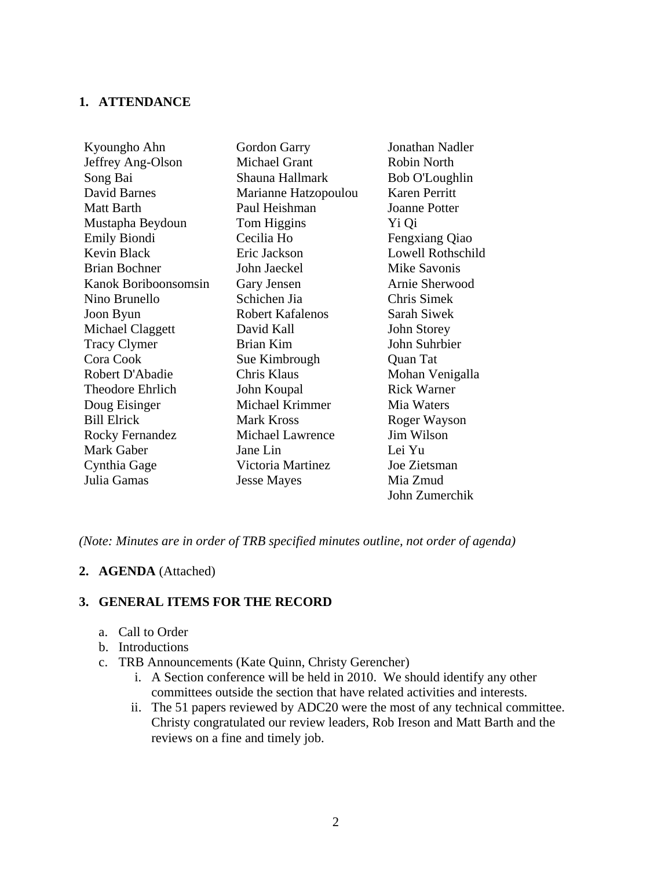#### **1. ATTENDANCE**

| Kyoungho Ahn           | Gordon Garry            | Jonathan Nadler      |
|------------------------|-------------------------|----------------------|
| Jeffrey Ang-Olson      | <b>Michael Grant</b>    | <b>Robin North</b>   |
| Song Bai               | Shauna Hallmark         | Bob O'Loughlin       |
| David Barnes           | Marianne Hatzopoulou    | Karen Perritt        |
| Matt Barth             | Paul Heishman           | <b>Joanne Potter</b> |
| Mustapha Beydoun       | Tom Higgins             | Yi Qi                |
| <b>Emily Biondi</b>    | Cecilia Ho              | Fengxiang Qiao       |
| Kevin Black            | Eric Jackson            | Lowell Rothschild    |
| <b>Brian Bochner</b>   | John Jaeckel            | Mike Savonis         |
| Kanok Boriboonsomsin   | Gary Jensen             | Arnie Sherwood       |
| Nino Brunello          | Schichen Jia            | Chris Simek          |
| Joon Byun              | <b>Robert Kafalenos</b> | Sarah Siwek          |
| Michael Claggett       | David Kall              | John Storey          |
| <b>Tracy Clymer</b>    | Brian Kim               | John Suhrbier        |
| Cora Cook              | Sue Kimbrough           | Quan Tat             |
| Robert D'Abadie        | Chris Klaus             | Mohan Venigalla      |
| Theodore Ehrlich       | John Koupal             | <b>Rick Warner</b>   |
| Doug Eisinger          | Michael Krimmer         | Mia Waters           |
| <b>Bill Elrick</b>     | <b>Mark Kross</b>       | Roger Wayson         |
| <b>Rocky Fernandez</b> | <b>Michael Lawrence</b> | Jim Wilson           |
| Mark Gaber             | Jane Lin                | Lei Yu               |
| Cynthia Gage           | Victoria Martinez       | Joe Zietsman         |
| Julia Gamas            | <b>Jesse Mayes</b>      | Mia Zmud             |
|                        |                         | John Zumerchik       |

*(Note: Minutes are in order of TRB specified minutes outline, not order of agenda)* 

#### **2. AGENDA** (Attached)

#### **3. GENERAL ITEMS FOR THE RECORD**

- a. Call to Order
- b. Introductions
- c. TRB Announcements (Kate Quinn, Christy Gerencher)
	- i. A Section conference will be held in 2010. We should identify any other committees outside the section that have related activities and interests.
	- ii. The 51 papers reviewed by ADC20 were the most of any technical committee. Christy congratulated our review leaders, Rob Ireson and Matt Barth and the reviews on a fine and timely job.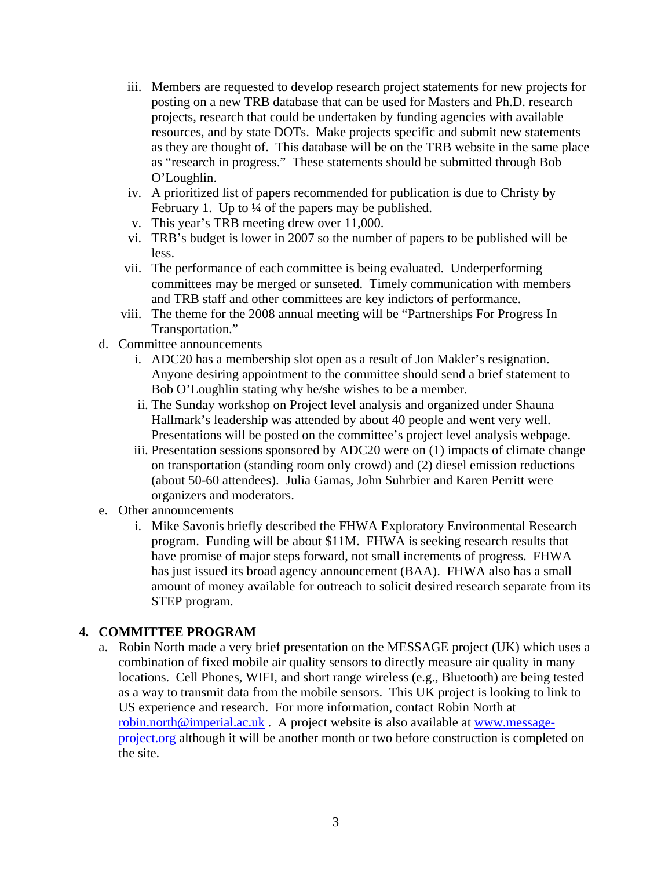- iii. Members are requested to develop research project statements for new projects for posting on a new TRB database that can be used for Masters and Ph.D. research projects, research that could be undertaken by funding agencies with available resources, and by state DOTs. Make projects specific and submit new statements as they are thought of. This database will be on the TRB website in the same place as "research in progress." These statements should be submitted through Bob O'Loughlin.
- iv. A prioritized list of papers recommended for publication is due to Christy by February 1. Up to  $\frac{1}{4}$  of the papers may be published.
- v. This year's TRB meeting drew over 11,000.
- vi. TRB's budget is lower in 2007 so the number of papers to be published will be less.
- vii. The performance of each committee is being evaluated. Underperforming committees may be merged or sunseted. Timely communication with members and TRB staff and other committees are key indictors of performance.
- viii. The theme for the 2008 annual meeting will be "Partnerships For Progress In Transportation."
- d. Committee announcements
	- i. ADC20 has a membership slot open as a result of Jon Makler's resignation. Anyone desiring appointment to the committee should send a brief statement to Bob O'Loughlin stating why he/she wishes to be a member.
	- ii. The Sunday workshop on Project level analysis and organized under Shauna Hallmark's leadership was attended by about 40 people and went very well. Presentations will be posted on the committee's project level analysis webpage.
	- iii. Presentation sessions sponsored by ADC20 were on (1) impacts of climate change on transportation (standing room only crowd) and (2) diesel emission reductions (about 50-60 attendees). Julia Gamas, John Suhrbier and Karen Perritt were organizers and moderators.
- e. Other announcements
	- i. Mike Savonis briefly described the FHWA Exploratory Environmental Research program. Funding will be about \$11M. FHWA is seeking research results that have promise of major steps forward, not small increments of progress. FHWA has just issued its broad agency announcement (BAA). FHWA also has a small amount of money available for outreach to solicit desired research separate from its STEP program.

# **4. COMMITTEE PROGRAM**

a. Robin North made a very brief presentation on the MESSAGE project (UK) which uses a combination of fixed mobile air quality sensors to directly measure air quality in many locations. Cell Phones, WIFI, and short range wireless (e.g., Bluetooth) are being tested as a way to transmit data from the mobile sensors. This UK project is looking to link to US experience and research. For more information, contact Robin North at [robin.north@imperial.ac.uk](mailto:robin.north@imperial.ac.uk) . A project website is also available at [www.message](http://www.message-project.org/)[project.org](http://www.message-project.org/) although it will be another month or two before construction is completed on the site.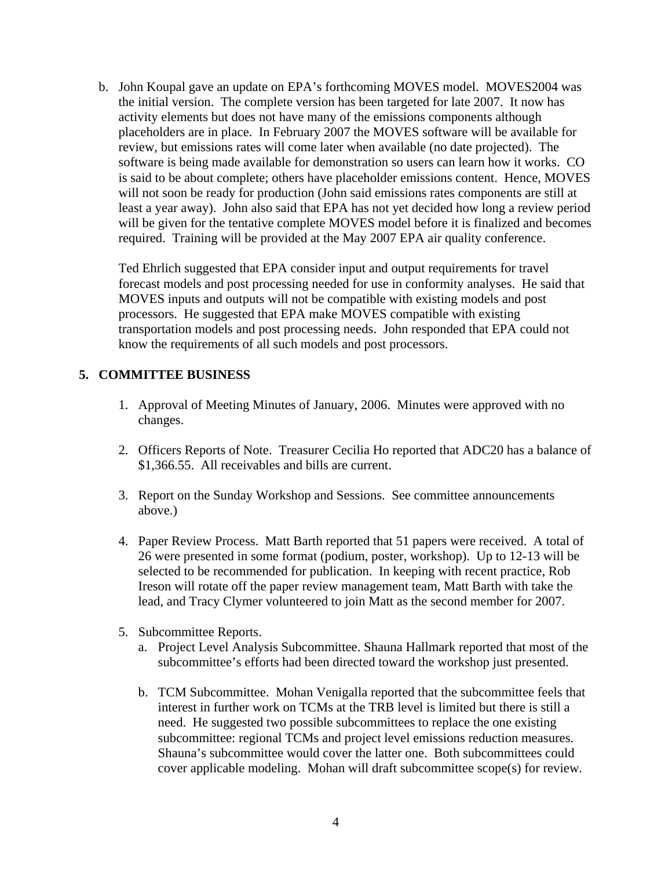b. John Koupal gave an update on EPA's forthcoming MOVES model. MOVES2004 was the initial version. The complete version has been targeted for late 2007. It now has activity elements but does not have many of the emissions components although placeholders are in place. In February 2007 the MOVES software will be available for review, but emissions rates will come later when available (no date projected). The software is being made available for demonstration so users can learn how it works. CO is said to be about complete; others have placeholder emissions content. Hence, MOVES will not soon be ready for production (John said emissions rates components are still at least a year away). John also said that EPA has not yet decided how long a review period will be given for the tentative complete MOVES model before it is finalized and becomes required. Training will be provided at the May 2007 EPA air quality conference.

Ted Ehrlich suggested that EPA consider input and output requirements for travel forecast models and post processing needed for use in conformity analyses. He said that MOVES inputs and outputs will not be compatible with existing models and post processors. He suggested that EPA make MOVES compatible with existing transportation models and post processing needs. John responded that EPA could not know the requirements of all such models and post processors.

# **5. COMMITTEE BUSINESS**

- 1. Approval of Meeting Minutes of January, 2006. Minutes were approved with no changes.
- 2. Officers Reports of Note. Treasurer Cecilia Ho reported that ADC20 has a balance of \$1,366.55. All receivables and bills are current.
- 3. Report on the Sunday Workshop and Sessions. See committee announcements above.)
- 4. Paper Review Process. Matt Barth reported that 51 papers were received. A total of 26 were presented in some format (podium, poster, workshop). Up to 12-13 will be selected to be recommended for publication. In keeping with recent practice, Rob Ireson will rotate off the paper review management team, Matt Barth with take the lead, and Tracy Clymer volunteered to join Matt as the second member for 2007.
- 5. Subcommittee Reports.
	- a. Project Level Analysis Subcommittee. Shauna Hallmark reported that most of the subcommittee's efforts had been directed toward the workshop just presented.
	- b. TCM Subcommittee. Mohan Venigalla reported that the subcommittee feels that interest in further work on TCMs at the TRB level is limited but there is still a need. He suggested two possible subcommittees to replace the one existing subcommittee: regional TCMs and project level emissions reduction measures. Shauna's subcommittee would cover the latter one. Both subcommittees could cover applicable modeling. Mohan will draft subcommittee scope(s) for review.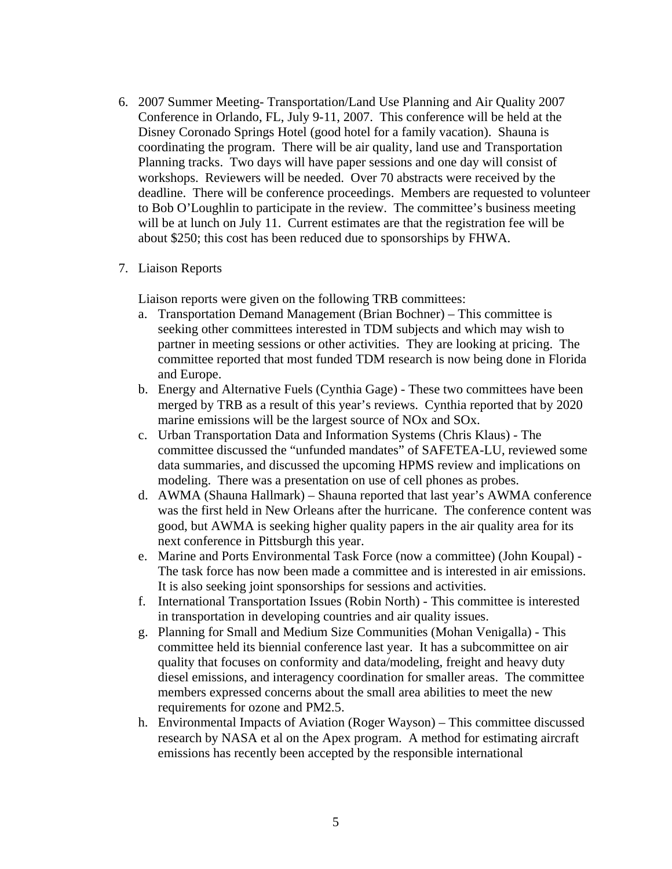- 6. 2007 Summer Meeting- Transportation/Land Use Planning and Air Quality 2007 Conference in Orlando, FL, July 9-11, 2007. This conference will be held at the Disney Coronado Springs Hotel (good hotel for a family vacation). Shauna is coordinating the program. There will be air quality, land use and Transportation Planning tracks. Two days will have paper sessions and one day will consist of workshops. Reviewers will be needed. Over 70 abstracts were received by the deadline. There will be conference proceedings. Members are requested to volunteer to Bob O'Loughlin to participate in the review. The committee's business meeting will be at lunch on July 11. Current estimates are that the registration fee will be about \$250; this cost has been reduced due to sponsorships by FHWA.
- 7. Liaison Reports

Liaison reports were given on the following TRB committees:

- a. Transportation Demand Management (Brian Bochner) This committee is seeking other committees interested in TDM subjects and which may wish to partner in meeting sessions or other activities. They are looking at pricing. The committee reported that most funded TDM research is now being done in Florida and Europe.
- b. Energy and Alternative Fuels (Cynthia Gage) These two committees have been merged by TRB as a result of this year's reviews. Cynthia reported that by 2020 marine emissions will be the largest source of NOx and SOx.
- c. Urban Transportation Data and Information Systems (Chris Klaus) The committee discussed the "unfunded mandates" of SAFETEA-LU, reviewed some data summaries, and discussed the upcoming HPMS review and implications on modeling. There was a presentation on use of cell phones as probes.
- d. AWMA (Shauna Hallmark) Shauna reported that last year's AWMA conference was the first held in New Orleans after the hurricane. The conference content was good, but AWMA is seeking higher quality papers in the air quality area for its next conference in Pittsburgh this year.
- e. Marine and Ports Environmental Task Force (now a committee) (John Koupal) The task force has now been made a committee and is interested in air emissions. It is also seeking joint sponsorships for sessions and activities.
- f. International Transportation Issues (Robin North) This committee is interested in transportation in developing countries and air quality issues.
- g. Planning for Small and Medium Size Communities (Mohan Venigalla) This committee held its biennial conference last year. It has a subcommittee on air quality that focuses on conformity and data/modeling, freight and heavy duty diesel emissions, and interagency coordination for smaller areas. The committee members expressed concerns about the small area abilities to meet the new requirements for ozone and PM2.5.
- h. Environmental Impacts of Aviation (Roger Wayson) This committee discussed research by NASA et al on the Apex program. A method for estimating aircraft emissions has recently been accepted by the responsible international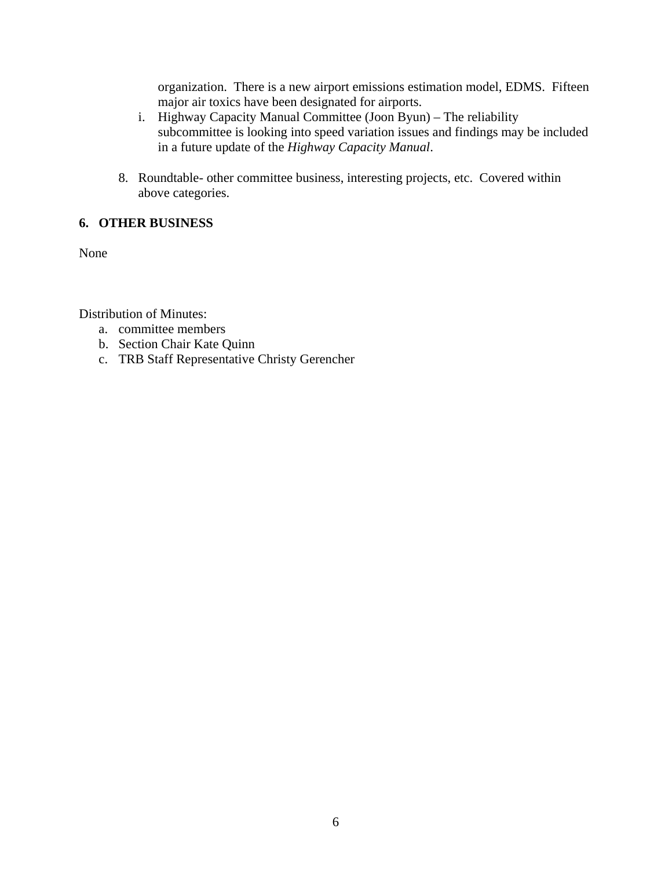organization. There is a new airport emissions estimation model, EDMS. Fifteen major air toxics have been designated for airports.

- i. Highway Capacity Manual Committee (Joon Byun) The reliability subcommittee is looking into speed variation issues and findings may be included in a future update of the *Highway Capacity Manual*.
- 8. Roundtable- other committee business, interesting projects, etc. Covered within above categories.

# **6. OTHER BUSINESS**

None

Distribution of Minutes:

- a. committee members
- b. Section Chair Kate Quinn
- c. TRB Staff Representative Christy Gerencher